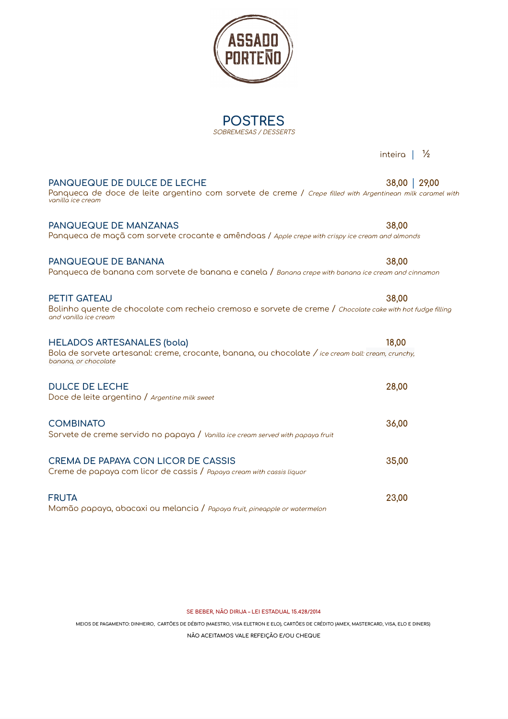| Panqueca de maçã com sorvete crocante e amêndoas / Apple crepe with crispy ice cream and almonds                                                                |       |
|-----------------------------------------------------------------------------------------------------------------------------------------------------------------|-------|
| PANQUEQUE DE BANANA<br>Panqueca de banana com sorvete de banana e canela / Banana crepe with banana ice cream and cinnamon                                      | 38,00 |
| <b>PETIT GATEAU</b><br>Bolinho quente de chocolate com recheio cremoso e sorvete de creme / Chocolate cake with hot fudge fillin<br>and vanilla ice cream       | 38,00 |
| <b>HELADOS ARTESANALES (bola)</b><br>Bola de sorvete artesanal: creme, crocante, banana, ou chocolate / ice cream ball: cream, crunchy,<br>banana, or chocolate | 18,00 |
| <b>DULCE DE LECHE</b><br>Doce de leite argentino / Argentine milk sweet                                                                                         | 28,00 |
| <b>COMBINATO</b><br>Sorvete de creme servido no papaya / Vanilla ice cream served with papaya fruit                                                             | 36,00 |
| CREMA DE PAPAYA CON LICOR DE CASSIS<br>Creme de papaya com licor de cassis / Papaya cream with cassis liquor                                                    | 35,00 |
| <b>FRUTA</b><br>Mamão papaya, abacaxi ou melancia / Papaya fruit, pineapple or watermelon                                                                       | 23,00 |

**PANQUEQUE DE DULCE DE LECHE 38,00** │ **29,00** Panqueca de doce de leite argentino com sorvete de creme / *Crepe filled with Argentinean milk caramel with*<br>vanilla*ice cream* 

**PANQUEQUE DE MANZANAS 38,00**

## Bolinho quente de chocolate com recheio cremoso e sorvete de creme / *Chocolate cake with hot fudge filling*

**SE BEBER, NÃO DIRIJA – LEI ESTADUAL 15.428/2014**

MEIOS DE PAGAMENTO: DINHEIRO, CARTÕES DE DÉBITO (MAESTRO, VISA ELETRON E ELO), CARTÕES DE CRÉDITO (AMEX, MASTERCARD, VISA, ELO E DINERS)

**NÃO ACEITAMOS VALE REFEIÇÃO E/OU CHEQUE**

**POSTRES** SOBREMESAS / DESSERTS

inteira **│** ½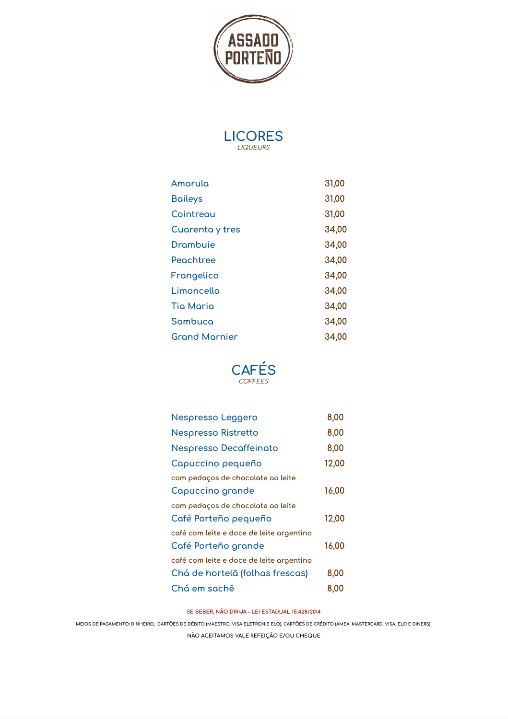



| Amorulo              | 31,00 |
|----------------------|-------|
| <b>Baileys</b>       | 31,00 |
| Cointreau            | 31,00 |
| Cuarenta y tres      | 34,00 |
| <b>Drambuie</b>      | 34,00 |
| Peachtree            | 34,00 |
| Frangelico           | 34,00 |
| Limoncello           | 34,00 |
| <b>Tio Maria</b>     | 34,00 |
| Sambuca              | 34,00 |
| <b>Grond Mornier</b> | 34,00 |



| Nespresso Leggero                        | 8,00  |
|------------------------------------------|-------|
| <b>Nespresso Ristretto</b>               | 8,00  |
| Nespresso Decaffeinato                   | 8,00  |
| Capuccino pequeño                        | 12,00 |
| com pedaços de chocolate ao leite        |       |
| Capuccino grande                         | 16,00 |
| com pedaços de chocolate ao leite        |       |
| Café Porteño pequeño                     | 12,00 |
| café com leite e doce de leite argentino |       |
| Café Porteño grande                      | 16,00 |
| café com leite e doce de leite argentino |       |
| Chá de hortelã (folhas frescas)          | 8,00  |
| Chá em sachê                             | 8,00  |

**SE BEBER, NÃO DIRIJA – LEI ESTADUAL 15.428/2014**

MEIOS DE PAGAMENTO: DINHEIRO, CARTÕES DE DÉBITO (MAESTRO, VISA ELETRON E ELO), CARTÕES DE CRÉDITO (AMEX, MASTERCARD, VISA, ELO E DINERS)

**NÃO ACEITAMOS VALE REFEIÇÃO E/OU CHEQUE**